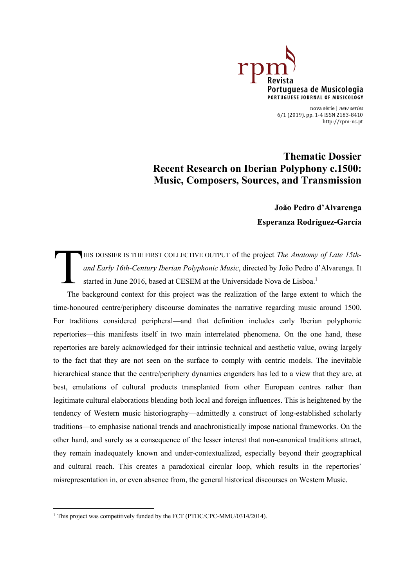

nova série | *new series* 6/1 (2019), pp. 1-4 ISSN 2183-8410 <http://rpm-ns.pt>

**Thematic Dossier Recent Research on Iberian Polyphony c.1500: Music, Composers, Sources, and Transmission**

> **João Pedro d'Alvarenga Esperanza Rodríguez-García**

HIS DOSSIER IS THE FIRST COLLECTIVE OUTPUT of the project *The Anatomy of Late 15thand Early 16th-Century Iberian Polyphonic Music*, directed by João Pedro d'Alvarenga. It started in June 2016, based at CESEM at the Universidade Nova de Lisboa.<sup>1</sup> T

The background context for this project was the realization of the large extent to which the time-honoured centre/periphery discourse dominates the narrative regarding music around 1500. For traditions considered peripheral—and that definition includes early Iberian polyphonic repertories—this manifests itself in two main interrelated phenomena. On the one hand, these repertories are barely acknowledged for their intrinsic technical and aesthetic value, owing largely to the fact that they are not seen on the surface to comply with centric models. The inevitable hierarchical stance that the centre/periphery dynamics engenders has led to a view that they are, at best, emulations of cultural products transplanted from other European centres rather than legitimate cultural elaborations blending both local and foreign influences. This is heightened by the tendency of Western music historiography—admittedly a construct of long-established scholarly traditions—to emphasise national trends and anachronistically impose national frameworks. On the other hand, and surely as a consequence of the lesser interest that non-canonical traditions attract, they remain inadequately known and under-contextualized, especially beyond their geographical and cultural reach. This creates a paradoxical circular loop, which results in the repertories' misrepresentation in, or even absence from, the general historical discourses on Western Music.

<sup>&</sup>lt;sup>1</sup> This project was competitively funded by the FCT (PTDC/CPC-MMU/0314/2014).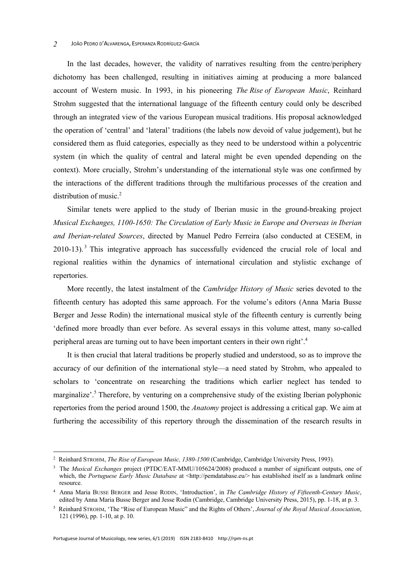## JOÃO PEDRO D'ALVARENGA, ESPERANZA RODRÍGUEZ-GARCÍA *2*

In the last decades, however, the validity of narratives resulting from the centre/periphery dichotomy has been challenged, resulting in initiatives aiming at producing a more balanced account of Western music. In 1993, in his pioneering *The Rise of European Music*, Reinhard Strohm suggested that the international language of the fifteenth century could only be described through an integrated view of the various European musical traditions. His proposal acknowledged the operation of 'central' and 'lateral' traditions (the labels now devoid of value judgement), but he considered them as fluid categories, especially as they need to be understood within a polycentric system (in which the quality of central and lateral might be even upended depending on the context). More crucially, Strohm's understanding of the international style was one confirmed by the interactions of the different traditions through the multifarious processes of the creation and distribution of music.<sup>2</sup>

Similar tenets were applied to the study of Iberian music in the ground-breaking project *Musical Exchanges, 1100-1650: The Circulation of Early Music in Europe and Overseas in Iberian and Iberian-related Sources*, directed by Manuel Pedro Ferreira (also conducted at CESEM, in  $2010-13$ .<sup>3</sup> This integrative approach has successfully evidenced the crucial role of local and regional realities within the dynamics of international circulation and stylistic exchange of repertories.

More recently, the latest instalment of the *Cambridge History of Music* series devoted to the fifteenth century has adopted this same approach. For the volume's editors (Anna Maria Busse Berger and Jesse Rodin) the international musical style of the fifteenth century is currently being 'defined more broadly than ever before. As several essays in this volume attest, many so-called peripheral areas are turning out to have been important centers in their own right'.4

It is then crucial that lateral traditions be properly studied and understood, so as to improve the accuracy of our definition of the international style—a need stated by Strohm, who appealed to scholars to 'concentrate on researching the traditions which earlier neglect has tended to marginalize'.5 Therefore, by venturing on a comprehensive study of the existing Iberian polyphonic repertories from the period around 1500, the *Anatomy* project is addressing a critical gap. We aim at furthering the accessibility of this repertory through the dissemination of the research results in

<sup>2</sup> Reinhard STROHM, *The Rise of European Music, 1380-1500* (Cambridge, Cambridge University Press, 1993).

<sup>&</sup>lt;sup>3</sup> The *Musical Exchanges* project (PTDC/EAT-MMU/105624/2008) produced a number of significant outputs, one of which, the *Portuguese Early Music Database* at <[http://pemdatabase.eu/> ha](http://pemdatabase.eu/)s established itself as a landmark online resource.

<sup>4</sup> Anna Maria BUSSE BERGER and Jesse RODIN, 'Introduction', in *The Cambridge History of Fifteenth-Century Music*, edited by Anna Maria Busse Berger and Jesse Rodin (Cambridge, Cambridge University Press, 2015), pp. 1-18, at p. 3.

<sup>5</sup> Reinhard STROHM, 'The "Rise of European Music" and the Rights of Others', *Journal of the Royal Musical Association*, 121 (1996), pp. 1-10, at p. 10.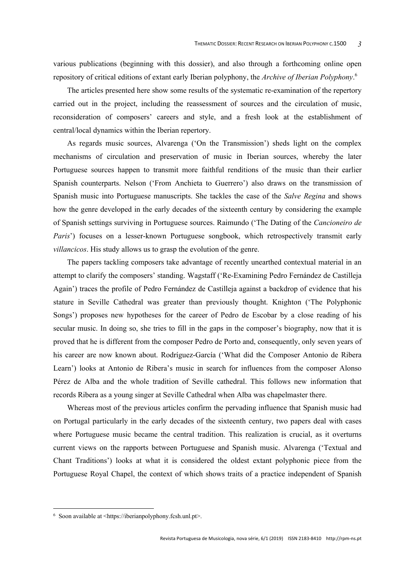various publications (beginning with this dossier), and also through a forthcoming online open repository of critical editions of extant early Iberian polyphony, the *Archive of Iberian Polyphony*. 6

The articles presented here show some results of the systematic re-examination of the repertory carried out in the project, including the reassessment of sources and the circulation of music, reconsideration of composers' careers and style, and a fresh look at the establishment of central/local dynamics within the Iberian repertory.

As regards music sources, Alvarenga ('On the Transmission') sheds light on the complex mechanisms of circulation and preservation of music in Iberian sources, whereby the later Portuguese sources happen to transmit more faithful renditions of the music than their earlier Spanish counterparts. Nelson ('From Anchieta to Guerrero') also draws on the transmission of Spanish music into Portuguese manuscripts. She tackles the case of the *Salve Regina* and shows how the genre developed in the early decades of the sixteenth century by considering the example of Spanish settings surviving in Portuguese sources. Raimundo ('The Dating of the *Cancioneiro de Paris*') focuses on a lesser-known Portuguese songbook, which retrospectively transmit early *villancicos*. His study allows us to grasp the evolution of the genre.

The papers tackling composers take advantage of recently unearthed contextual material in an attempt to clarify the composers' standing. Wagstaff ('Re-Examining Pedro Fernández de Castilleja Again') traces the profile of Pedro Fernández de Castilleja against a backdrop of evidence that his stature in Seville Cathedral was greater than previously thought. Knighton ('The Polyphonic Songs') proposes new hypotheses for the career of Pedro de Escobar by a close reading of his secular music. In doing so, she tries to fill in the gaps in the composer's biography, now that it is proved that he is different from the composer Pedro de Porto and, consequently, only seven years of his career are now known about. Rodríguez-García ('What did the Composer Antonio de Ribera Learn') looks at Antonio de Ribera's music in search for influences from the composer Alonso Pérez de Alba and the whole tradition of Seville cathedral. This follows new information that records Ribera as a young singer at Seville Cathedral when Alba was chapelmaster there.

Whereas most of the previous articles confirm the pervading influence that Spanish music had on Portugal particularly in the early decades of the sixteenth century, two papers deal with cases where Portuguese music became the central tradition. This realization is crucial, as it overturns current views on the rapports between Portuguese and Spanish music. Alvarenga ('Textual and Chant Traditions') looks at what it is considered the oldest extant polyphonic piece from the Portuguese Royal Chapel, the context of which shows traits of a practice independent of Spanish

<sup>6</sup> Soon available at [<https://iberianpolyphony.fcsh.unl.pt>.](https://iberianpolyphony.fcsh.unl.pt)